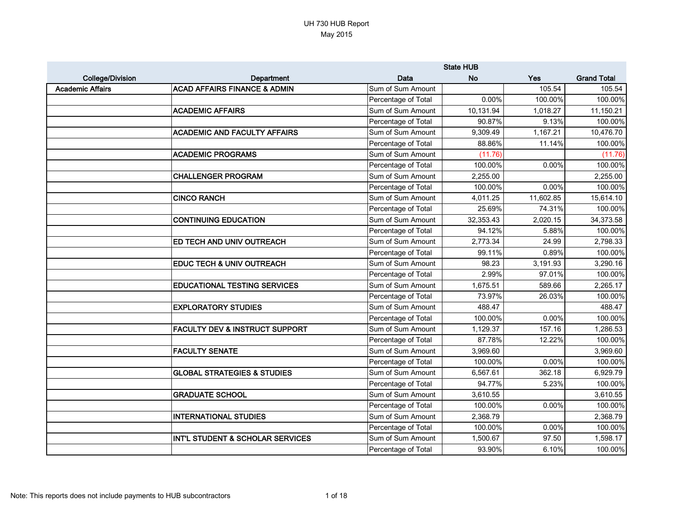|                         |                                           |                     | <b>State HUB</b> |           |                    |
|-------------------------|-------------------------------------------|---------------------|------------------|-----------|--------------------|
| <b>College/Division</b> | Department                                | Data                | <b>No</b>        | Yes       | <b>Grand Total</b> |
| <b>Academic Affairs</b> | <b>ACAD AFFAIRS FINANCE &amp; ADMIN</b>   | Sum of Sum Amount   |                  | 105.54    | 105.54             |
|                         |                                           | Percentage of Total | 0.00%            | 100.00%   | 100.00%            |
|                         | <b>ACADEMIC AFFAIRS</b>                   | Sum of Sum Amount   | 10,131.94        | 1,018.27  | 11,150.21          |
|                         |                                           | Percentage of Total | 90.87%           | 9.13%     | 100.00%            |
|                         | <b>ACADEMIC AND FACULTY AFFAIRS</b>       | Sum of Sum Amount   | 9,309.49         | 1,167.21  | 10,476.70          |
|                         |                                           | Percentage of Total | 88.86%           | 11.14%    | 100.00%            |
|                         | <b>ACADEMIC PROGRAMS</b>                  | Sum of Sum Amount   | (11.76)          |           | (11.76)            |
|                         |                                           | Percentage of Total | 100.00%          | 0.00%     | 100.00%            |
|                         | <b>CHALLENGER PROGRAM</b>                 | Sum of Sum Amount   | 2,255.00         |           | 2,255.00           |
|                         |                                           | Percentage of Total | 100.00%          | 0.00%     | 100.00%            |
|                         | <b>CINCO RANCH</b>                        | Sum of Sum Amount   | 4,011.25         | 11,602.85 | 15,614.10          |
|                         |                                           | Percentage of Total | 25.69%           | 74.31%    | 100.00%            |
|                         | <b>CONTINUING EDUCATION</b>               | Sum of Sum Amount   | 32,353.43        | 2,020.15  | 34,373.58          |
|                         |                                           | Percentage of Total | 94.12%           | 5.88%     | 100.00%            |
|                         | ED TECH AND UNIV OUTREACH                 | Sum of Sum Amount   | 2,773.34         | 24.99     | 2,798.33           |
|                         |                                           | Percentage of Total | 99.11%           | 0.89%     | 100.00%            |
|                         | <b>EDUC TECH &amp; UNIV OUTREACH</b>      | Sum of Sum Amount   | 98.23            | 3,191.93  | 3,290.16           |
|                         |                                           | Percentage of Total | 2.99%            | 97.01%    | 100.00%            |
|                         | <b>EDUCATIONAL TESTING SERVICES</b>       | Sum of Sum Amount   | 1,675.51         | 589.66    | 2,265.17           |
|                         |                                           | Percentage of Total | 73.97%           | 26.03%    | 100.00%            |
|                         | <b>EXPLORATORY STUDIES</b>                | Sum of Sum Amount   | 488.47           |           | 488.47             |
|                         |                                           | Percentage of Total | 100.00%          | 0.00%     | 100.00%            |
|                         | <b>FACULTY DEV &amp; INSTRUCT SUPPORT</b> | Sum of Sum Amount   | 1,129.37         | 157.16    | 1,286.53           |
|                         |                                           | Percentage of Total | 87.78%           | 12.22%    | 100.00%            |
|                         | <b>FACULTY SENATE</b>                     | Sum of Sum Amount   | 3,969.60         |           | 3,969.60           |
|                         |                                           | Percentage of Total | 100.00%          | 0.00%     | 100.00%            |
|                         | <b>GLOBAL STRATEGIES &amp; STUDIES</b>    | Sum of Sum Amount   | 6,567.61         | 362.18    | 6,929.79           |
|                         |                                           | Percentage of Total | 94.77%           | 5.23%     | 100.00%            |
|                         | <b>GRADUATE SCHOOL</b>                    | Sum of Sum Amount   | 3,610.55         |           | 3,610.55           |
|                         |                                           | Percentage of Total | 100.00%          | 0.00%     | 100.00%            |
|                         | <b>INTERNATIONAL STUDIES</b>              | Sum of Sum Amount   | 2,368.79         |           | 2,368.79           |
|                         |                                           | Percentage of Total | 100.00%          | 0.00%     | 100.00%            |
|                         | INT'L STUDENT & SCHOLAR SERVICES          | Sum of Sum Amount   | 1,500.67         | 97.50     | 1,598.17           |
|                         |                                           | Percentage of Total | 93.90%           | 6.10%     | 100.00%            |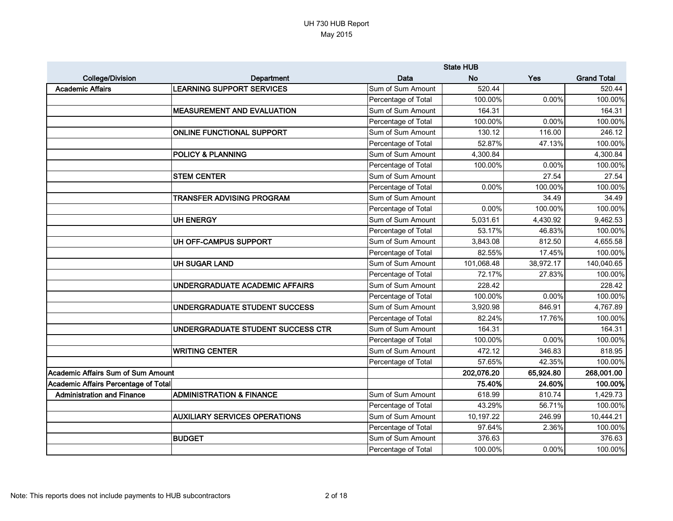|                                      |                                      |                     | <b>State HUB</b> |           |                    |
|--------------------------------------|--------------------------------------|---------------------|------------------|-----------|--------------------|
| <b>College/Division</b>              | Department                           | Data                | <b>No</b>        | Yes       | <b>Grand Total</b> |
| <b>Academic Affairs</b>              | LEARNING SUPPORT SERVICES            | Sum of Sum Amount   | 520.44           |           | 520.44             |
|                                      |                                      | Percentage of Total | 100.00%          | 0.00%     | 100.00%            |
|                                      | <b>MEASUREMENT AND EVALUATION</b>    | Sum of Sum Amount   | 164.31           |           | 164.31             |
|                                      |                                      | Percentage of Total | 100.00%          | 0.00%     | 100.00%            |
|                                      | <b>ONLINE FUNCTIONAL SUPPORT</b>     | Sum of Sum Amount   | 130.12           | 116.00    | 246.12             |
|                                      |                                      | Percentage of Total | 52.87%           | 47.13%    | 100.00%            |
|                                      | <b>POLICY &amp; PLANNING</b>         | Sum of Sum Amount   | 4,300.84         |           | 4,300.84           |
|                                      |                                      | Percentage of Total | 100.00%          | 0.00%     | 100.00%            |
|                                      | <b>STEM CENTER</b>                   | Sum of Sum Amount   |                  | 27.54     | 27.54              |
|                                      |                                      | Percentage of Total | 0.00%            | 100.00%   | 100.00%            |
|                                      | <b>TRANSFER ADVISING PROGRAM</b>     | Sum of Sum Amount   |                  | 34.49     | 34.49              |
|                                      |                                      | Percentage of Total | 0.00%            | 100.00%   | 100.00%            |
|                                      | <b>UH ENERGY</b>                     | Sum of Sum Amount   | 5,031.61         | 4,430.92  | 9,462.53           |
|                                      |                                      | Percentage of Total | 53.17%           | 46.83%    | 100.00%            |
|                                      | UH OFF-CAMPUS SUPPORT                | Sum of Sum Amount   | 3,843.08         | 812.50    | 4,655.58           |
|                                      |                                      | Percentage of Total | 82.55%           | 17.45%    | 100.00%            |
|                                      | <b>UH SUGAR LAND</b>                 | Sum of Sum Amount   | 101,068.48       | 38,972.17 | 140,040.65         |
|                                      |                                      | Percentage of Total | 72.17%           | 27.83%    | 100.00%            |
|                                      | UNDERGRADUATE ACADEMIC AFFAIRS       | Sum of Sum Amount   | 228.42           |           | 228.42             |
|                                      |                                      | Percentage of Total | 100.00%          | 0.00%     | 100.00%            |
|                                      | UNDERGRADUATE STUDENT SUCCESS        | Sum of Sum Amount   | 3,920.98         | 846.91    | 4,767.89           |
|                                      |                                      | Percentage of Total | 82.24%           | 17.76%    | 100.00%            |
|                                      | UNDERGRADUATE STUDENT SUCCESS CTR    | Sum of Sum Amount   | 164.31           |           | 164.31             |
|                                      |                                      | Percentage of Total | 100.00%          | 0.00%     | 100.00%            |
|                                      | <b>WRITING CENTER</b>                | Sum of Sum Amount   | 472.12           | 346.83    | 818.95             |
|                                      |                                      | Percentage of Total | 57.65%           | 42.35%    | 100.00%            |
| Academic Affairs Sum of Sum Amount   |                                      |                     | 202,076.20       | 65,924.80 | 268,001.00         |
| Academic Affairs Percentage of Total |                                      |                     | 75.40%           | 24.60%    | 100.00%            |
| <b>Administration and Finance</b>    | <b>ADMINISTRATION &amp; FINANCE</b>  | Sum of Sum Amount   | 618.99           | 810.74    | 1,429.73           |
|                                      |                                      | Percentage of Total | 43.29%           | 56.71%    | 100.00%            |
|                                      | <b>AUXILIARY SERVICES OPERATIONS</b> | Sum of Sum Amount   | 10,197.22        | 246.99    | 10,444.21          |
|                                      |                                      | Percentage of Total | 97.64%           | 2.36%     | 100.00%            |
|                                      | <b>BUDGET</b>                        | Sum of Sum Amount   | 376.63           |           | 376.63             |
|                                      |                                      | Percentage of Total | 100.00%          | $0.00\%$  | 100.00%            |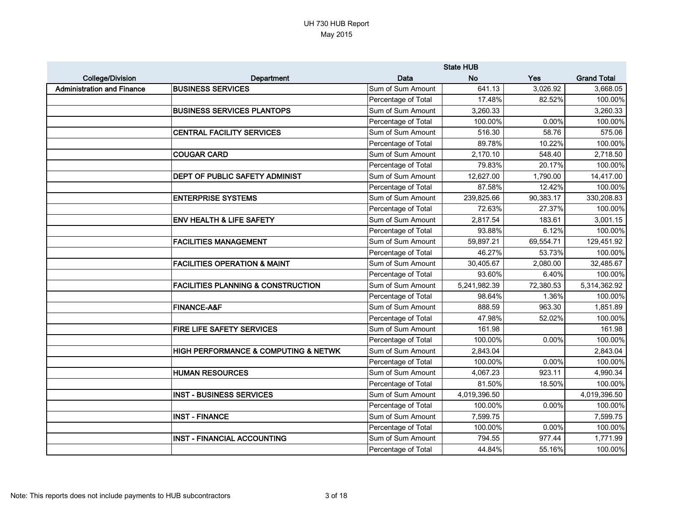|                                   |                                               |                     | <b>State HUB</b> |           |                    |
|-----------------------------------|-----------------------------------------------|---------------------|------------------|-----------|--------------------|
| <b>College/Division</b>           | Department                                    | Data                | <b>No</b>        | Yes       | <b>Grand Total</b> |
| <b>Administration and Finance</b> | <b>BUSINESS SERVICES</b>                      | Sum of Sum Amount   | 641.13           | 3,026.92  | 3,668.05           |
|                                   |                                               | Percentage of Total | 17.48%           | 82.52%    | 100.00%            |
|                                   | <b>BUSINESS SERVICES PLANTOPS</b>             | Sum of Sum Amount   | 3,260.33         |           | 3,260.33           |
|                                   |                                               | Percentage of Total | 100.00%          | 0.00%     | 100.00%            |
|                                   | <b>CENTRAL FACILITY SERVICES</b>              | Sum of Sum Amount   | 516.30           | 58.76     | 575.06             |
|                                   |                                               | Percentage of Total | 89.78%           | 10.22%    | 100.00%            |
|                                   | <b>COUGAR CARD</b>                            | Sum of Sum Amount   | 2,170.10         | 548.40    | 2,718.50           |
|                                   |                                               | Percentage of Total | 79.83%           | 20.17%    | 100.00%            |
|                                   | <b>DEPT OF PUBLIC SAFETY ADMINIST</b>         | Sum of Sum Amount   | 12,627.00        | 1,790.00  | 14,417.00          |
|                                   |                                               | Percentage of Total | 87.58%           | 12.42%    | 100.00%            |
|                                   | <b>ENTERPRISE SYSTEMS</b>                     | Sum of Sum Amount   | 239,825.66       | 90,383.17 | 330,208.83         |
|                                   |                                               | Percentage of Total | 72.63%           | 27.37%    | 100.00%            |
|                                   | <b>ENV HEALTH &amp; LIFE SAFETY</b>           | Sum of Sum Amount   | 2,817.54         | 183.61    | 3,001.15           |
|                                   |                                               | Percentage of Total | 93.88%           | 6.12%     | 100.00%            |
|                                   | <b>FACILITIES MANAGEMENT</b>                  | Sum of Sum Amount   | 59,897.21        | 69,554.71 | 129,451.92         |
|                                   |                                               | Percentage of Total | 46.27%           | 53.73%    | 100.00%            |
|                                   | <b>FACILITIES OPERATION &amp; MAINT</b>       | Sum of Sum Amount   | 30,405.67        | 2,080.00  | 32,485.67          |
|                                   |                                               | Percentage of Total | 93.60%           | 6.40%     | 100.00%            |
|                                   | <b>FACILITIES PLANNING &amp; CONSTRUCTION</b> | Sum of Sum Amount   | 5,241,982.39     | 72,380.53 | 5,314,362.92       |
|                                   |                                               | Percentage of Total | 98.64%           | 1.36%     | 100.00%            |
|                                   | <b>FINANCE-A&amp;F</b>                        | Sum of Sum Amount   | 888.59           | 963.30    | 1,851.89           |
|                                   |                                               | Percentage of Total | 47.98%           | 52.02%    | 100.00%            |
|                                   | FIRE LIFE SAFETY SERVICES                     | Sum of Sum Amount   | 161.98           |           | 161.98             |
|                                   |                                               | Percentage of Total | 100.00%          | 0.00%     | 100.00%            |
|                                   | HIGH PERFORMANCE & COMPUTING & NETWK          | Sum of Sum Amount   | 2,843.04         |           | 2,843.04           |
|                                   |                                               | Percentage of Total | 100.00%          | 0.00%     | 100.00%            |
|                                   | <b>HUMAN RESOURCES</b>                        | Sum of Sum Amount   | 4,067.23         | 923.11    | 4,990.34           |
|                                   |                                               | Percentage of Total | 81.50%           | 18.50%    | 100.00%            |
|                                   | <b>INST - BUSINESS SERVICES</b>               | Sum of Sum Amount   | 4,019,396.50     |           | 4,019,396.50       |
|                                   |                                               | Percentage of Total | 100.00%          | 0.00%     | 100.00%            |
|                                   | <b>INST - FINANCE</b>                         | Sum of Sum Amount   | 7,599.75         |           | 7,599.75           |
|                                   |                                               | Percentage of Total | 100.00%          | 0.00%     | 100.00%            |
|                                   | <b>INST - FINANCIAL ACCOUNTING</b>            | Sum of Sum Amount   | 794.55           | 977.44    | 1,771.99           |
|                                   |                                               | Percentage of Total | 44.84%           | 55.16%    | 100.00%            |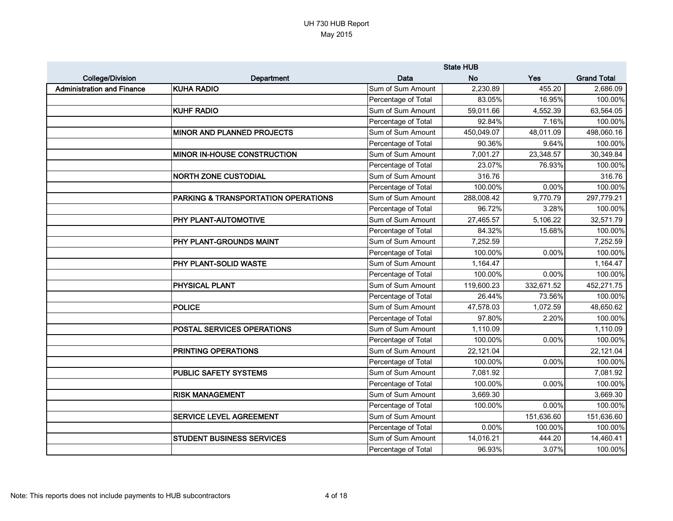|                                   |                                     |                     | <b>State HUB</b> |            |                    |
|-----------------------------------|-------------------------------------|---------------------|------------------|------------|--------------------|
| <b>College/Division</b>           | Department                          | Data                | <b>No</b>        | Yes        | <b>Grand Total</b> |
| <b>Administration and Finance</b> | <b>KUHA RADIO</b>                   | Sum of Sum Amount   | 2,230.89         | 455.20     | 2,686.09           |
|                                   |                                     | Percentage of Total | 83.05%           | 16.95%     | 100.00%            |
|                                   | <b>KUHF RADIO</b>                   | Sum of Sum Amount   | 59,011.66        | 4,552.39   | 63,564.05          |
|                                   |                                     | Percentage of Total | 92.84%           | 7.16%      | 100.00%            |
|                                   | <b>MINOR AND PLANNED PROJECTS</b>   | Sum of Sum Amount   | 450,049.07       | 48,011.09  | 498,060.16         |
|                                   |                                     | Percentage of Total | 90.36%           | 9.64%      | 100.00%            |
|                                   | <b>MINOR IN-HOUSE CONSTRUCTION</b>  | Sum of Sum Amount   | 7.001.27         | 23,348.57  | 30,349.84          |
|                                   |                                     | Percentage of Total | 23.07%           | 76.93%     | 100.00%            |
|                                   | <b>NORTH ZONE CUSTODIAL</b>         | Sum of Sum Amount   | 316.76           |            | 316.76             |
|                                   |                                     | Percentage of Total | 100.00%          | 0.00%      | 100.00%            |
|                                   | PARKING & TRANSPORTATION OPERATIONS | Sum of Sum Amount   | 288,008.42       | 9,770.79   | 297,779.21         |
|                                   |                                     | Percentage of Total | 96.72%           | 3.28%      | 100.00%            |
|                                   | PHY PLANT-AUTOMOTIVE                | Sum of Sum Amount   | 27,465.57        | 5,106.22   | 32,571.79          |
|                                   |                                     | Percentage of Total | 84.32%           | 15.68%     | 100.00%            |
|                                   | PHY PLANT-GROUNDS MAINT             | Sum of Sum Amount   | 7,252.59         |            | 7,252.59           |
|                                   |                                     | Percentage of Total | 100.00%          | 0.00%      | 100.00%            |
|                                   | PHY PLANT-SOLID WASTE               | Sum of Sum Amount   | 1,164.47         |            | 1,164.47           |
|                                   |                                     | Percentage of Total | 100.00%          | 0.00%      | 100.00%            |
|                                   | <b>PHYSICAL PLANT</b>               | Sum of Sum Amount   | 119,600.23       | 332,671.52 | 452,271.75         |
|                                   |                                     | Percentage of Total | 26.44%           | 73.56%     | 100.00%            |
|                                   | POLICE                              | Sum of Sum Amount   | 47,578.03        | 1,072.59   | 48,650.62          |
|                                   |                                     | Percentage of Total | 97.80%           | 2.20%      | 100.00%            |
|                                   | POSTAL SERVICES OPERATIONS          | Sum of Sum Amount   | 1,110.09         |            | 1,110.09           |
|                                   |                                     | Percentage of Total | 100.00%          | 0.00%      | 100.00%            |
|                                   | PRINTING OPERATIONS                 | Sum of Sum Amount   | 22,121.04        |            | 22,121.04          |
|                                   |                                     | Percentage of Total | 100.00%          | 0.00%      | 100.00%            |
|                                   | <b>PUBLIC SAFETY SYSTEMS</b>        | Sum of Sum Amount   | 7,081.92         |            | 7,081.92           |
|                                   |                                     | Percentage of Total | 100.00%          | $0.00\%$   | 100.00%            |
|                                   | <b>RISK MANAGEMENT</b>              | Sum of Sum Amount   | 3,669.30         |            | 3,669.30           |
|                                   |                                     | Percentage of Total | 100.00%          | 0.00%      | 100.00%            |
|                                   | SERVICE LEVEL AGREEMENT             | Sum of Sum Amount   |                  | 151,636.60 | 151,636.60         |
|                                   |                                     | Percentage of Total | 0.00%            | 100.00%    | 100.00%            |
|                                   | <b>STUDENT BUSINESS SERVICES</b>    | Sum of Sum Amount   | 14,016.21        | 444.20     | 14,460.41          |
|                                   |                                     | Percentage of Total | 96.93%           | 3.07%      | 100.00%            |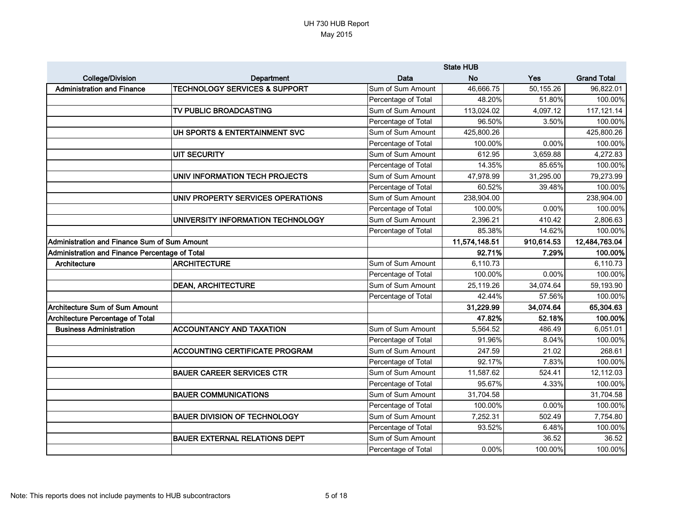|                                                     |                                          |                     | <b>State HUB</b> |            |                    |
|-----------------------------------------------------|------------------------------------------|---------------------|------------------|------------|--------------------|
| <b>College/Division</b>                             | Department                               | Data                | <b>No</b>        | Yes        | <b>Grand Total</b> |
| <b>Administration and Finance</b>                   | <b>TECHNOLOGY SERVICES &amp; SUPPORT</b> | Sum of Sum Amount   | 46,666.75        | 50,155.26  | 96,822.01          |
|                                                     |                                          | Percentage of Total | 48.20%           | 51.80%     | 100.00%            |
|                                                     | TV PUBLIC BROADCASTING                   | Sum of Sum Amount   | 113,024.02       | 4,097.12   | 117,121.14         |
|                                                     |                                          | Percentage of Total | 96.50%           | 3.50%      | 100.00%            |
|                                                     | UH SPORTS & ENTERTAINMENT SVC            | Sum of Sum Amount   | 425,800.26       |            | 425,800.26         |
|                                                     |                                          | Percentage of Total | 100.00%          | 0.00%      | 100.00%            |
|                                                     | <b>UIT SECURITY</b>                      | Sum of Sum Amount   | 612.95           | 3,659.88   | 4,272.83           |
|                                                     |                                          | Percentage of Total | 14.35%           | 85.65%     | 100.00%            |
|                                                     | UNIV INFORMATION TECH PROJECTS           | Sum of Sum Amount   | 47,978.99        | 31,295.00  | 79,273.99          |
|                                                     |                                          | Percentage of Total | 60.52%           | 39.48%     | 100.00%            |
|                                                     | UNIV PROPERTY SERVICES OPERATIONS        | Sum of Sum Amount   | 238,904.00       |            | 238,904.00         |
|                                                     |                                          | Percentage of Total | 100.00%          | 0.00%      | 100.00%            |
|                                                     | UNIVERSITY INFORMATION TECHNOLOGY        | Sum of Sum Amount   | 2,396.21         | 410.42     | 2,806.63           |
|                                                     |                                          | Percentage of Total | 85.38%           | 14.62%     | 100.00%            |
| <b>Administration and Finance Sum of Sum Amount</b> |                                          |                     | 11,574,148.51    | 910,614.53 | 12,484,763.04      |
| Administration and Finance Percentage of Total      |                                          |                     | 92.71%           | 7.29%      | 100.00%            |
| Architecture                                        | <b>ARCHITECTURE</b>                      | Sum of Sum Amount   | 6,110.73         |            | 6,110.73           |
|                                                     |                                          | Percentage of Total | 100.00%          | 0.00%      | 100.00%            |
|                                                     | <b>DEAN, ARCHITECTURE</b>                | Sum of Sum Amount   | 25,119.26        | 34,074.64  | 59,193.90          |
|                                                     |                                          | Percentage of Total | 42.44%           | 57.56%     | 100.00%            |
| <b>Architecture Sum of Sum Amount</b>               |                                          |                     | 31,229.99        | 34,074.64  | 65,304.63          |
| <b>Architecture Percentage of Total</b>             |                                          |                     | 47.82%           | 52.18%     | 100.00%            |
| <b>Business Administration</b>                      | <b>ACCOUNTANCY AND TAXATION</b>          | Sum of Sum Amount   | 5,564.52         | 486.49     | 6,051.01           |
|                                                     |                                          | Percentage of Total | 91.96%           | 8.04%      | 100.00%            |
|                                                     | <b>ACCOUNTING CERTIFICATE PROGRAM</b>    | Sum of Sum Amount   | 247.59           | 21.02      | 268.61             |
|                                                     |                                          | Percentage of Total | 92.17%           | 7.83%      | 100.00%            |
|                                                     | <b>BAUER CAREER SERVICES CTR</b>         | Sum of Sum Amount   | 11,587.62        | 524.41     | 12,112.03          |
|                                                     |                                          | Percentage of Total | 95.67%           | 4.33%      | 100.00%            |
|                                                     | <b>BAUER COMMUNICATIONS</b>              | Sum of Sum Amount   | 31,704.58        |            | 31,704.58          |
|                                                     |                                          | Percentage of Total | 100.00%          | 0.00%      | 100.00%            |
|                                                     | <b>BAUER DIVISION OF TECHNOLOGY</b>      | Sum of Sum Amount   | 7,252.31         | 502.49     | 7,754.80           |
|                                                     |                                          | Percentage of Total | 93.52%           | 6.48%      | 100.00%            |
|                                                     | <b>BAUER EXTERNAL RELATIONS DEPT</b>     | Sum of Sum Amount   |                  | 36.52      | 36.52              |
|                                                     |                                          | Percentage of Total | $0.00\%$         | 100.00%    | 100.00%            |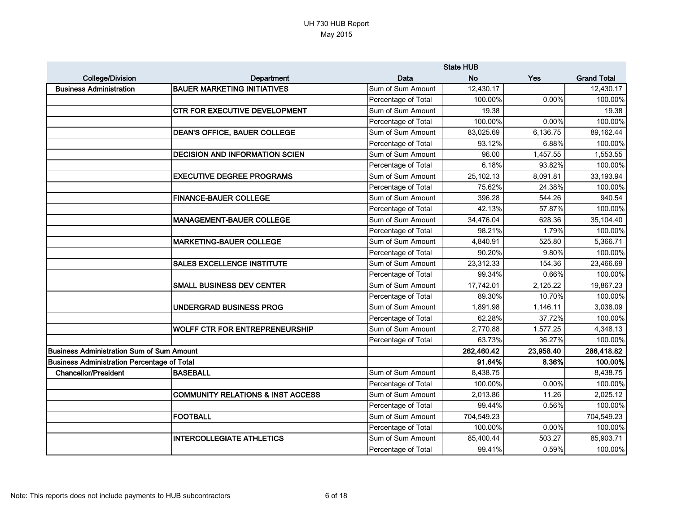|                                                    |                                              |                     | <b>State HUB</b> |           |                    |
|----------------------------------------------------|----------------------------------------------|---------------------|------------------|-----------|--------------------|
| <b>College/Division</b>                            | <b>Department</b>                            | <b>Data</b>         | <b>No</b>        | Yes       | <b>Grand Total</b> |
| <b>Business Administration</b>                     | <b>BAUER MARKETING INITIATIVES</b>           | Sum of Sum Amount   | 12,430.17        |           | 12,430.17          |
|                                                    |                                              | Percentage of Total | 100.00%          | 0.00%     | 100.00%            |
|                                                    | <b>CTR FOR EXECUTIVE DEVELOPMENT</b>         | Sum of Sum Amount   | 19.38            |           | 19.38              |
|                                                    |                                              | Percentage of Total | 100.00%          | 0.00%     | 100.00%            |
|                                                    | <b>DEAN'S OFFICE, BAUER COLLEGE</b>          | Sum of Sum Amount   | 83,025.69        | 6,136.75  | 89,162.44          |
|                                                    |                                              | Percentage of Total | 93.12%           | 6.88%     | 100.00%            |
|                                                    | <b>DECISION AND INFORMATION SCIEN</b>        | Sum of Sum Amount   | 96.00            | 1,457.55  | 1,553.55           |
|                                                    |                                              | Percentage of Total | 6.18%            | 93.82%    | 100.00%            |
|                                                    | <b>EXECUTIVE DEGREE PROGRAMS</b>             | Sum of Sum Amount   | 25,102.13        | 8,091.81  | 33,193.94          |
|                                                    |                                              | Percentage of Total | 75.62%           | 24.38%    | 100.00%            |
|                                                    | <b>FINANCE-BAUER COLLEGE</b>                 | Sum of Sum Amount   | 396.28           | 544.26    | 940.54             |
|                                                    |                                              | Percentage of Total | 42.13%           | 57.87%    | 100.00%            |
|                                                    | <b>MANAGEMENT-BAUER COLLEGE</b>              | Sum of Sum Amount   | 34,476.04        | 628.36    | 35,104.40          |
|                                                    |                                              | Percentage of Total | 98.21%           | 1.79%     | 100.00%            |
|                                                    | <b>MARKETING-BAUER COLLEGE</b>               | Sum of Sum Amount   | 4,840.91         | 525.80    | 5,366.71           |
|                                                    |                                              | Percentage of Total | 90.20%           | 9.80%     | 100.00%            |
|                                                    | <b>SALES EXCELLENCE INSTITUTE</b>            | Sum of Sum Amount   | 23,312.33        | 154.36    | 23,466.69          |
|                                                    |                                              | Percentage of Total | 99.34%           | 0.66%     | 100.00%            |
|                                                    | <b>SMALL BUSINESS DEV CENTER</b>             | Sum of Sum Amount   | 17,742.01        | 2,125.22  | 19,867.23          |
|                                                    |                                              | Percentage of Total | 89.30%           | 10.70%    | 100.00%            |
|                                                    | <b>UNDERGRAD BUSINESS PROG</b>               | Sum of Sum Amount   | 1,891.98         | 1,146.11  | 3,038.09           |
|                                                    |                                              | Percentage of Total | 62.28%           | 37.72%    | 100.00%            |
|                                                    | <b>WOLFF CTR FOR ENTREPRENEURSHIP</b>        | Sum of Sum Amount   | 2,770.88         | 1,577.25  | 4,348.13           |
|                                                    |                                              | Percentage of Total | 63.73%           | 36.27%    | 100.00%            |
| Business Administration Sum of Sum Amount          |                                              |                     | 262,460.42       | 23,958.40 | 286,418.82         |
| <b>Business Administration Percentage of Total</b> |                                              |                     | 91.64%           | 8.36%     | 100.00%            |
| <b>Chancellor/President</b>                        | <b>BASEBALL</b>                              | Sum of Sum Amount   | 8,438.75         |           | 8,438.75           |
|                                                    |                                              | Percentage of Total | 100.00%          | $0.00\%$  | 100.00%            |
|                                                    | <b>COMMUNITY RELATIONS &amp; INST ACCESS</b> | Sum of Sum Amount   | 2,013.86         | 11.26     | 2,025.12           |
|                                                    |                                              | Percentage of Total | 99.44%           | 0.56%     | 100.00%            |
|                                                    | <b>FOOTBALL</b>                              | Sum of Sum Amount   | 704,549.23       |           | 704,549.23         |
|                                                    |                                              | Percentage of Total | 100.00%          | 0.00%     | 100.00%            |
|                                                    | <b>INTERCOLLEGIATE ATHLETICS</b>             | Sum of Sum Amount   | 85,400.44        | 503.27    | 85,903.71          |
|                                                    |                                              | Percentage of Total | 99.41%           | 0.59%     | 100.00%            |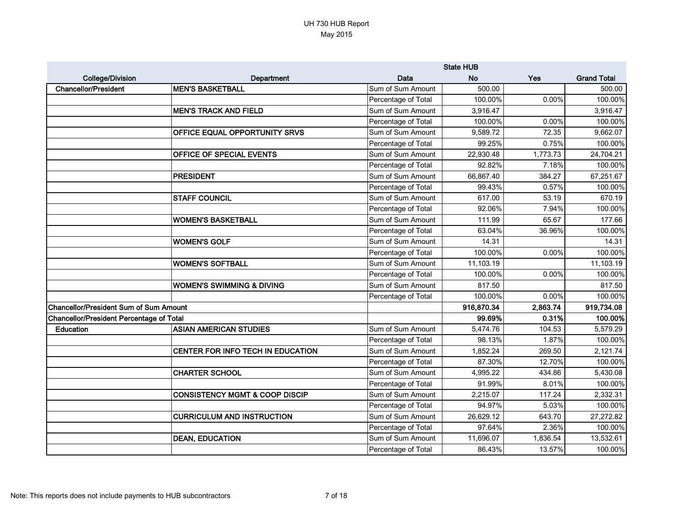|                                                 |                                           |                     | <b>State HUB</b> |          |                    |
|-------------------------------------------------|-------------------------------------------|---------------------|------------------|----------|--------------------|
| <b>College/Division</b>                         | Department                                | Data                | <b>No</b>        | Yes      | <b>Grand Total</b> |
| <b>Chancellor/President</b>                     | <b>MEN'S BASKETBALL</b>                   | Sum of Sum Amount   | 500.00           |          | 500.00             |
|                                                 |                                           | Percentage of Total | 100.00%          | 0.00%    | 100.00%            |
|                                                 | <b>MEN'S TRACK AND FIELD</b>              | Sum of Sum Amount   | 3,916.47         |          | 3,916.47           |
|                                                 |                                           | Percentage of Total | 100.00%          | 0.00%    | 100.00%            |
|                                                 | <b>OFFICE EQUAL OPPORTUNITY SRVS</b>      | Sum of Sum Amount   | 9,589.72         | 72.35    | 9,662.07           |
|                                                 |                                           | Percentage of Total | 99.25%           | 0.75%    | 100.00%            |
|                                                 | <b>OFFICE OF SPECIAL EVENTS</b>           | Sum of Sum Amount   | 22,930.48        | 1,773.73 | 24,704.21          |
|                                                 |                                           | Percentage of Total | 92.82%           | 7.18%    | 100.00%            |
|                                                 | <b>PRESIDENT</b>                          | Sum of Sum Amount   | 66,867.40        | 384.27   | 67,251.67          |
|                                                 |                                           | Percentage of Total | 99.43%           | 0.57%    | 100.00%            |
|                                                 | <b>STAFF COUNCIL</b>                      | Sum of Sum Amount   | 617.00           | 53.19    | 670.19             |
|                                                 |                                           | Percentage of Total | 92.06%           | 7.94%    | 100.00%            |
|                                                 | <b>WOMEN'S BASKETBALL</b>                 | Sum of Sum Amount   | 111.99           | 65.67    | 177.66             |
|                                                 |                                           | Percentage of Total | 63.04%           | 36.96%   | 100.00%            |
|                                                 | <b>WOMEN'S GOLF</b>                       | Sum of Sum Amount   | 14.31            |          | 14.31              |
|                                                 |                                           | Percentage of Total | 100.00%          | 0.00%    | 100.00%            |
|                                                 | <b>WOMEN'S SOFTBALL</b>                   | Sum of Sum Amount   | 11,103.19        |          | 11,103.19          |
|                                                 |                                           | Percentage of Total | 100.00%          | 0.00%    | 100.00%            |
|                                                 | <b>WOMEN'S SWIMMING &amp; DIVING</b>      | Sum of Sum Amount   | 817.50           |          | 817.50             |
|                                                 |                                           | Percentage of Total | 100.00%          | 0.00%    | 100.00%            |
| <b>Chancellor/President Sum of Sum Amount</b>   |                                           |                     | 916,870.34       | 2,863.74 | 919,734.08         |
| <b>Chancellor/President Percentage of Total</b> |                                           |                     | 99.69%           | 0.31%    | 100.00%            |
| <b>Education</b>                                | <b>ASIAN AMERICAN STUDIES</b>             | Sum of Sum Amount   | 5,474.76         | 104.53   | 5,579.29           |
|                                                 |                                           | Percentage of Total | 98.13%           | 1.87%    | 100.00%            |
|                                                 | CENTER FOR INFO TECH IN EDUCATION         | Sum of Sum Amount   | 1,852.24         | 269.50   | 2,121.74           |
|                                                 |                                           | Percentage of Total | 87.30%           | 12.70%   | 100.00%            |
|                                                 | <b>CHARTER SCHOOL</b>                     | Sum of Sum Amount   | 4,995.22         | 434.86   | 5,430.08           |
|                                                 |                                           | Percentage of Total | 91.99%           | 8.01%    | 100.00%            |
|                                                 | <b>CONSISTENCY MGMT &amp; COOP DISCIP</b> | Sum of Sum Amount   | 2,215.07         | 117.24   | 2,332.31           |
|                                                 |                                           | Percentage of Total | 94.97%           | 5.03%    | 100.00%            |
|                                                 | <b>CURRICULUM AND INSTRUCTION</b>         | Sum of Sum Amount   | 26,629.12        | 643.70   | 27,272.82          |
|                                                 |                                           | Percentage of Total | 97.64%           | 2.36%    | 100.00%            |
|                                                 | <b>DEAN, EDUCATION</b>                    | Sum of Sum Amount   | 11,696.07        | 1,836.54 | 13,532.61          |
|                                                 |                                           | Percentage of Total | 86.43%           | 13.57%   | 100.00%            |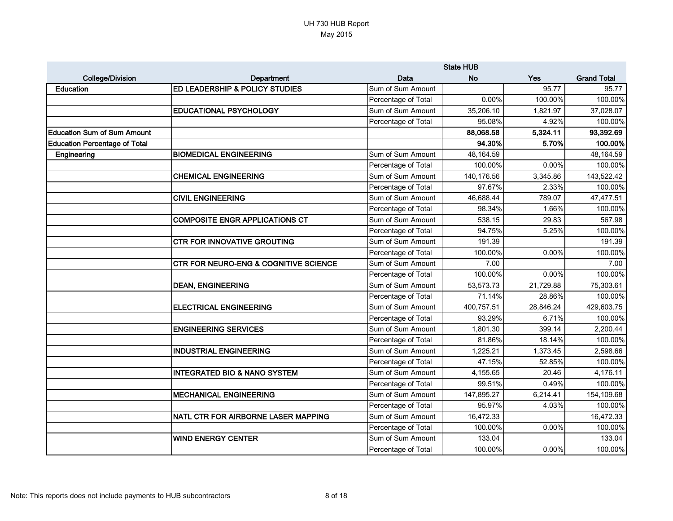|                                      |                                         |                     | <b>State HUB</b> |           |                    |
|--------------------------------------|-----------------------------------------|---------------------|------------------|-----------|--------------------|
| <b>College/Division</b>              | <b>Department</b>                       | Data                | <b>No</b>        | Yes       | <b>Grand Total</b> |
| <b>Education</b>                     | ED LEADERSHIP & POLICY STUDIES          | Sum of Sum Amount   |                  | 95.77     | 95.77              |
|                                      |                                         | Percentage of Total | 0.00%            | 100.00%   | 100.00%            |
|                                      | <b>EDUCATIONAL PSYCHOLOGY</b>           | Sum of Sum Amount   | 35,206.10        | 1,821.97  | 37,028.07          |
|                                      |                                         | Percentage of Total | 95.08%           | 4.92%     | 100.00%            |
| <b>Education Sum of Sum Amount</b>   |                                         |                     | 88,068.58        | 5,324.11  | 93,392.69          |
| <b>Education Percentage of Total</b> |                                         |                     | 94.30%           | 5.70%     | 100.00%            |
| Engineering                          | <b>BIOMEDICAL ENGINEERING</b>           | Sum of Sum Amount   | 48,164.59        |           | 48,164.59          |
|                                      |                                         | Percentage of Total | 100.00%          | 0.00%     | 100.00%            |
|                                      | <b>CHEMICAL ENGINEERING</b>             | Sum of Sum Amount   | 140,176.56       | 3,345.86  | 143,522.42         |
|                                      |                                         | Percentage of Total | 97.67%           | 2.33%     | 100.00%            |
|                                      | <b>CIVIL ENGINEERING</b>                | Sum of Sum Amount   | 46,688.44        | 789.07    | 47,477.51          |
|                                      |                                         | Percentage of Total | 98.34%           | 1.66%     | 100.00%            |
|                                      | <b>COMPOSITE ENGR APPLICATIONS CT</b>   | Sum of Sum Amount   | 538.15           | 29.83     | 567.98             |
|                                      |                                         | Percentage of Total | 94.75%           | 5.25%     | 100.00%            |
|                                      | <b>CTR FOR INNOVATIVE GROUTING</b>      | Sum of Sum Amount   | 191.39           |           | 191.39             |
|                                      |                                         | Percentage of Total | 100.00%          | 0.00%     | 100.00%            |
|                                      | CTR FOR NEURO-ENG & COGNITIVE SCIENCE   | Sum of Sum Amount   | 7.00             |           | 7.00               |
|                                      |                                         | Percentage of Total | 100.00%          | 0.00%     | 100.00%            |
|                                      | <b>DEAN, ENGINEERING</b>                | Sum of Sum Amount   | 53,573.73        | 21,729.88 | 75,303.61          |
|                                      |                                         | Percentage of Total | 71.14%           | 28.86%    | 100.00%            |
|                                      | <b>ELECTRICAL ENGINEERING</b>           | Sum of Sum Amount   | 400,757.51       | 28,846.24 | 429,603.75         |
|                                      |                                         | Percentage of Total | 93.29%           | 6.71%     | 100.00%            |
|                                      | <b>ENGINEERING SERVICES</b>             | Sum of Sum Amount   | 1,801.30         | 399.14    | 2,200.44           |
|                                      |                                         | Percentage of Total | 81.86%           | 18.14%    | 100.00%            |
|                                      | <b>INDUSTRIAL ENGINEERING</b>           | Sum of Sum Amount   | 1,225.21         | 1,373.45  | 2,598.66           |
|                                      |                                         | Percentage of Total | 47.15%           | 52.85%    | 100.00%            |
|                                      | <b>INTEGRATED BIO &amp; NANO SYSTEM</b> | Sum of Sum Amount   | 4,155.65         | 20.46     | 4,176.11           |
|                                      |                                         | Percentage of Total | 99.51%           | 0.49%     | 100.00%            |
|                                      | <b>MECHANICAL ENGINEERING</b>           | Sum of Sum Amount   | 147,895.27       | 6,214.41  | 154,109.68         |
|                                      |                                         | Percentage of Total | 95.97%           | 4.03%     | 100.00%            |
|                                      | NATL CTR FOR AIRBORNE LASER MAPPING     | Sum of Sum Amount   | 16,472.33        |           | 16,472.33          |
|                                      |                                         | Percentage of Total | 100.00%          | 0.00%     | 100.00%            |
|                                      | <b>WIND ENERGY CENTER</b>               | Sum of Sum Amount   | 133.04           |           | 133.04             |
|                                      |                                         | Percentage of Total | 100.00%          | $0.00\%$  | 100.00%            |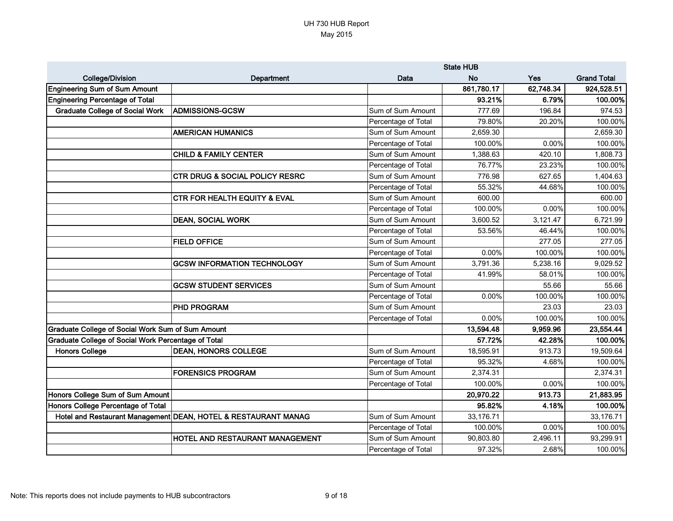|                                                          |                                                                |                     | <b>State HUB</b> |            |                    |
|----------------------------------------------------------|----------------------------------------------------------------|---------------------|------------------|------------|--------------------|
| <b>College/Division</b>                                  | <b>Department</b>                                              | Data                | <b>No</b>        | <b>Yes</b> | <b>Grand Total</b> |
| <b>Engineering Sum of Sum Amount</b>                     |                                                                |                     | 861,780.17       | 62,748.34  | 924,528.51         |
| <b>Engineering Percentage of Total</b>                   |                                                                |                     | 93.21%           | 6.79%      | 100.00%            |
| <b>Graduate College of Social Work</b>                   | <b>ADMISSIONS-GCSW</b>                                         | Sum of Sum Amount   | 777.69           | 196.84     | 974.53             |
|                                                          |                                                                | Percentage of Total | 79.80%           | 20.20%     | 100.00%            |
|                                                          | <b>AMERICAN HUMANICS</b>                                       | Sum of Sum Amount   | 2,659.30         |            | 2,659.30           |
|                                                          |                                                                | Percentage of Total | 100.00%          | 0.00%      | 100.00%            |
|                                                          | <b>CHILD &amp; FAMILY CENTER</b>                               | Sum of Sum Amount   | 1,388.63         | 420.10     | 1,808.73           |
|                                                          |                                                                | Percentage of Total | 76.77%           | 23.23%     | 100.00%            |
|                                                          | <b>CTR DRUG &amp; SOCIAL POLICY RESRC</b>                      | Sum of Sum Amount   | 776.98           | 627.65     | 1,404.63           |
|                                                          |                                                                | Percentage of Total | 55.32%           | 44.68%     | 100.00%            |
|                                                          | <b>CTR FOR HEALTH EQUITY &amp; EVAL</b>                        | Sum of Sum Amount   | 600.00           |            | 600.00             |
|                                                          |                                                                | Percentage of Total | 100.00%          | 0.00%      | 100.00%            |
|                                                          | <b>DEAN, SOCIAL WORK</b>                                       | Sum of Sum Amount   | 3,600.52         | 3,121.47   | 6,721.99           |
|                                                          |                                                                | Percentage of Total | 53.56%           | 46.44%     | 100.00%            |
|                                                          | <b>FIELD OFFICE</b>                                            | Sum of Sum Amount   |                  | 277.05     | 277.05             |
|                                                          |                                                                | Percentage of Total | 0.00%            | 100.00%    | 100.00%            |
|                                                          | <b>GCSW INFORMATION TECHNOLOGY</b>                             | Sum of Sum Amount   | 3,791.36         | 5,238.16   | 9,029.52           |
|                                                          |                                                                | Percentage of Total | 41.99%           | 58.01%     | 100.00%            |
|                                                          | <b>GCSW STUDENT SERVICES</b>                                   | Sum of Sum Amount   |                  | 55.66      | 55.66              |
|                                                          |                                                                | Percentage of Total | 0.00%            | 100.00%    | 100.00%            |
|                                                          | <b>PHD PROGRAM</b>                                             | Sum of Sum Amount   |                  | 23.03      | 23.03              |
|                                                          |                                                                | Percentage of Total | 0.00%            | 100.00%    | 100.00%            |
| <b>Graduate College of Social Work Sum of Sum Amount</b> |                                                                |                     | 13,594.48        | 9,959.96   | 23,554.44          |
| Graduate College of Social Work Percentage of Total      |                                                                |                     | 57.72%           | 42.28%     | 100.00%            |
| <b>Honors College</b>                                    | <b>DEAN, HONORS COLLEGE</b>                                    | Sum of Sum Amount   | 18,595.91        | 913.73     | 19,509.64          |
|                                                          |                                                                | Percentage of Total | 95.32%           | 4.68%      | 100.00%            |
|                                                          | <b>FORENSICS PROGRAM</b>                                       | Sum of Sum Amount   | 2,374.31         |            | 2,374.31           |
|                                                          |                                                                | Percentage of Total | 100.00%          | $0.00\%$   | 100.00%            |
| Honors College Sum of Sum Amount                         |                                                                |                     | 20,970.22        | 913.73     | 21,883.95          |
| Honors College Percentage of Total                       |                                                                |                     | 95.82%           | 4.18%      | 100.00%            |
|                                                          | Hotel and Restaurant Management DEAN, HOTEL & RESTAURANT MANAG | Sum of Sum Amount   | 33,176.71        |            | 33,176.71          |
|                                                          |                                                                | Percentage of Total | 100.00%          | 0.00%      | 100.00%            |
|                                                          | HOTEL AND RESTAURANT MANAGEMENT                                | Sum of Sum Amount   | 90,803.80        | 2,496.11   | 93,299.91          |
|                                                          |                                                                | Percentage of Total | 97.32%           | 2.68%      | 100.00%            |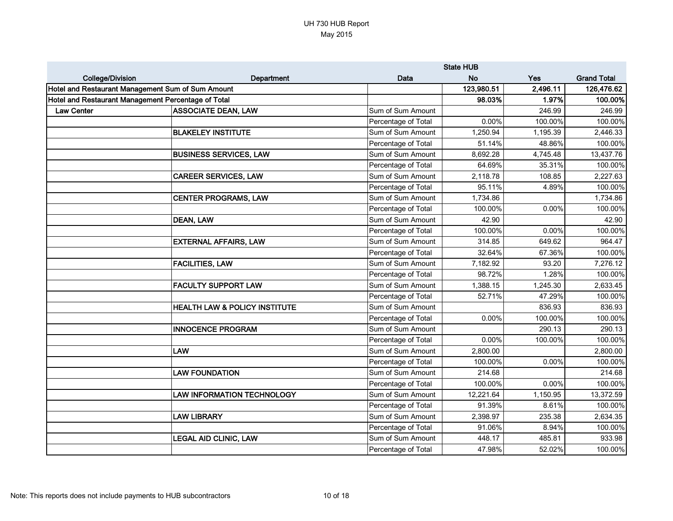|                                                     |                                          |                     | <b>State HUB</b> |          |                    |
|-----------------------------------------------------|------------------------------------------|---------------------|------------------|----------|--------------------|
| <b>College/Division</b>                             | <b>Department</b>                        | Data                | <b>No</b>        | Yes      | <b>Grand Total</b> |
| Hotel and Restaurant Management Sum of Sum Amount   |                                          |                     | 123,980.51       | 2,496.11 | 126,476.62         |
| Hotel and Restaurant Management Percentage of Total |                                          |                     | 98.03%           | 1.97%    | 100.00%            |
| <b>Law Center</b>                                   | <b>ASSOCIATE DEAN, LAW</b>               | Sum of Sum Amount   |                  | 246.99   | 246.99             |
|                                                     |                                          | Percentage of Total | 0.00%            | 100.00%  | 100.00%            |
|                                                     | <b>BLAKELEY INSTITUTE</b>                | Sum of Sum Amount   | 1,250.94         | 1,195.39 | 2,446.33           |
|                                                     |                                          | Percentage of Total | 51.14%           | 48.86%   | 100.00%            |
|                                                     | <b>BUSINESS SERVICES, LAW</b>            | Sum of Sum Amount   | 8,692.28         | 4,745.48 | 13,437.76          |
|                                                     |                                          | Percentage of Total | 64.69%           | 35.31%   | 100.00%            |
|                                                     | <b>CAREER SERVICES, LAW</b>              | Sum of Sum Amount   | 2,118.78         | 108.85   | 2,227.63           |
|                                                     |                                          | Percentage of Total | 95.11%           | 4.89%    | 100.00%            |
|                                                     | <b>CENTER PROGRAMS, LAW</b>              | Sum of Sum Amount   | 1,734.86         |          | 1,734.86           |
|                                                     |                                          | Percentage of Total | 100.00%          | 0.00%    | 100.00%            |
|                                                     | <b>DEAN, LAW</b>                         | Sum of Sum Amount   | 42.90            |          | 42.90              |
|                                                     |                                          | Percentage of Total | 100.00%          | 0.00%    | 100.00%            |
|                                                     | <b>EXTERNAL AFFAIRS, LAW</b>             | Sum of Sum Amount   | 314.85           | 649.62   | 964.47             |
|                                                     |                                          | Percentage of Total | 32.64%           | 67.36%   | 100.00%            |
|                                                     | <b>FACILITIES, LAW</b>                   | Sum of Sum Amount   | 7,182.92         | 93.20    | 7,276.12           |
|                                                     |                                          | Percentage of Total | 98.72%           | 1.28%    | 100.00%            |
|                                                     | <b>FACULTY SUPPORT LAW</b>               | Sum of Sum Amount   | 1,388.15         | 1,245.30 | 2,633.45           |
|                                                     |                                          | Percentage of Total | 52.71%           | 47.29%   | 100.00%            |
|                                                     | <b>HEALTH LAW &amp; POLICY INSTITUTE</b> | Sum of Sum Amount   |                  | 836.93   | 836.93             |
|                                                     |                                          | Percentage of Total | 0.00%            | 100.00%  | 100.00%            |
|                                                     | <b>INNOCENCE PROGRAM</b>                 | Sum of Sum Amount   |                  | 290.13   | 290.13             |
|                                                     |                                          | Percentage of Total | 0.00%            | 100.00%  | 100.00%            |
|                                                     | LAW                                      | Sum of Sum Amount   | 2,800.00         |          | 2,800.00           |
|                                                     |                                          | Percentage of Total | 100.00%          | 0.00%    | 100.00%            |
|                                                     | <b>LAW FOUNDATION</b>                    | Sum of Sum Amount   | 214.68           |          | 214.68             |
|                                                     |                                          | Percentage of Total | 100.00%          | $0.00\%$ | 100.00%            |
|                                                     | <b>LAW INFORMATION TECHNOLOGY</b>        | Sum of Sum Amount   | 12,221.64        | 1,150.95 | 13,372.59          |
|                                                     |                                          | Percentage of Total | 91.39%           | 8.61%    | 100.00%            |
|                                                     | <b>LAW LIBRARY</b>                       | Sum of Sum Amount   | 2,398.97         | 235.38   | 2,634.35           |
|                                                     |                                          | Percentage of Total | 91.06%           | 8.94%    | 100.00%            |
|                                                     | <b>LEGAL AID CLINIC, LAW</b>             | Sum of Sum Amount   | 448.17           | 485.81   | 933.98             |
|                                                     |                                          | Percentage of Total | 47.98%           | 52.02%   | 100.00%            |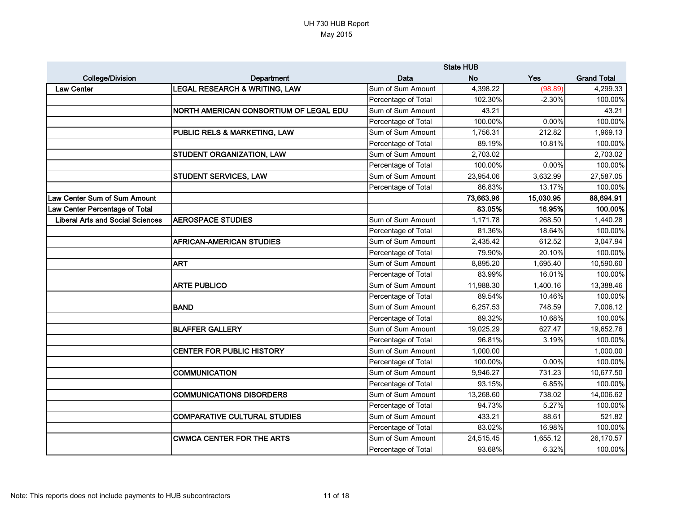|                                         |                                        |                     | <b>State HUB</b> |           |                    |
|-----------------------------------------|----------------------------------------|---------------------|------------------|-----------|--------------------|
| <b>College/Division</b>                 | Department                             | Data                | <b>No</b>        | Yes       | <b>Grand Total</b> |
| <b>Law Center</b>                       | LEGAL RESEARCH & WRITING, LAW          | Sum of Sum Amount   | 4,398.22         | (98.89)   | 4,299.33           |
|                                         |                                        | Percentage of Total | 102.30%          | $-2.30%$  | 100.00%            |
|                                         | NORTH AMERICAN CONSORTIUM OF LEGAL EDU | Sum of Sum Amount   | 43.21            |           | 43.21              |
|                                         |                                        | Percentage of Total | 100.00%          | 0.00%     | 100.00%            |
|                                         | PUBLIC RELS & MARKETING, LAW           | Sum of Sum Amount   | 1,756.31         | 212.82    | 1,969.13           |
|                                         |                                        | Percentage of Total | 89.19%           | 10.81%    | 100.00%            |
|                                         | <b>STUDENT ORGANIZATION, LAW</b>       | Sum of Sum Amount   | 2,703.02         |           | 2,703.02           |
|                                         |                                        | Percentage of Total | 100.00%          | 0.00%     | 100.00%            |
|                                         | <b>STUDENT SERVICES, LAW</b>           | Sum of Sum Amount   | 23,954.06        | 3,632.99  | 27,587.05          |
|                                         |                                        | Percentage of Total | 86.83%           | 13.17%    | 100.00%            |
| Law Center Sum of Sum Amount            |                                        |                     | 73,663.96        | 15,030.95 | 88,694.91          |
| Law Center Percentage of Total          |                                        |                     | 83.05%           | 16.95%    | 100.00%            |
| <b>Liberal Arts and Social Sciences</b> | <b>AEROSPACE STUDIES</b>               | Sum of Sum Amount   | 1,171.78         | 268.50    | 1,440.28           |
|                                         |                                        | Percentage of Total | 81.36%           | 18.64%    | 100.00%            |
|                                         | <b>AFRICAN-AMERICAN STUDIES</b>        | Sum of Sum Amount   | 2,435.42         | 612.52    | 3,047.94           |
|                                         |                                        | Percentage of Total | 79.90%           | 20.10%    | 100.00%            |
|                                         | <b>ART</b>                             | Sum of Sum Amount   | 8,895.20         | 1,695.40  | 10,590.60          |
|                                         |                                        | Percentage of Total | 83.99%           | 16.01%    | 100.00%            |
|                                         | <b>ARTE PUBLICO</b>                    | Sum of Sum Amount   | 11,988.30        | 1,400.16  | 13,388.46          |
|                                         |                                        | Percentage of Total | 89.54%           | 10.46%    | 100.00%            |
|                                         | <b>BAND</b>                            | Sum of Sum Amount   | 6,257.53         | 748.59    | 7,006.12           |
|                                         |                                        | Percentage of Total | 89.32%           | 10.68%    | 100.00%            |
|                                         | <b>BLAFFER GALLERY</b>                 | Sum of Sum Amount   | 19,025.29        | 627.47    | 19,652.76          |
|                                         |                                        | Percentage of Total | 96.81%           | 3.19%     | 100.00%            |
|                                         | <b>CENTER FOR PUBLIC HISTORY</b>       | Sum of Sum Amount   | 1,000.00         |           | 1,000.00           |
|                                         |                                        | Percentage of Total | 100.00%          | 0.00%     | 100.00%            |
|                                         | <b>COMMUNICATION</b>                   | Sum of Sum Amount   | 9,946.27         | 731.23    | 10,677.50          |
|                                         |                                        | Percentage of Total | 93.15%           | 6.85%     | 100.00%            |
|                                         | <b>COMMUNICATIONS DISORDERS</b>        | Sum of Sum Amount   | 13,268.60        | 738.02    | 14,006.62          |
|                                         |                                        | Percentage of Total | 94.73%           | 5.27%     | 100.00%            |
|                                         | <b>COMPARATIVE CULTURAL STUDIES</b>    | Sum of Sum Amount   | 433.21           | 88.61     | 521.82             |
|                                         |                                        | Percentage of Total | 83.02%           | 16.98%    | 100.00%            |
|                                         | <b>CWMCA CENTER FOR THE ARTS</b>       | Sum of Sum Amount   | 24,515.45        | 1,655.12  | 26,170.57          |
|                                         |                                        | Percentage of Total | 93.68%           | 6.32%     | 100.00%            |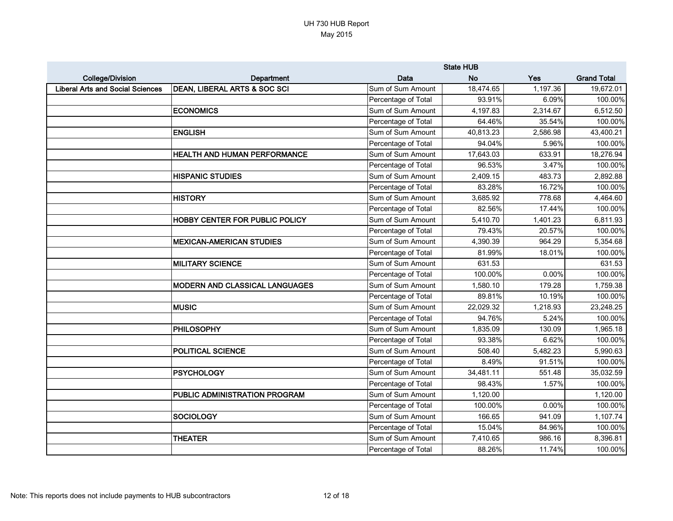|                                         |                                       |                     | <b>State HUB</b> |          |                    |
|-----------------------------------------|---------------------------------------|---------------------|------------------|----------|--------------------|
| <b>College/Division</b>                 | Department                            | Data                | <b>No</b>        | Yes      | <b>Grand Total</b> |
| <b>Liberal Arts and Social Sciences</b> | DEAN, LIBERAL ARTS & SOC SCI          | Sum of Sum Amount   | 18,474.65        | 1,197.36 | 19,672.01          |
|                                         |                                       | Percentage of Total | 93.91%           | 6.09%    | 100.00%            |
|                                         | <b>ECONOMICS</b>                      | Sum of Sum Amount   | 4,197.83         | 2,314.67 | 6,512.50           |
|                                         |                                       | Percentage of Total | 64.46%           | 35.54%   | 100.00%            |
|                                         | <b>ENGLISH</b>                        | Sum of Sum Amount   | 40,813.23        | 2,586.98 | 43,400.21          |
|                                         |                                       | Percentage of Total | 94.04%           | 5.96%    | 100.00%            |
|                                         | HEALTH AND HUMAN PERFORMANCE          | Sum of Sum Amount   | 17,643.03        | 633.91   | 18,276.94          |
|                                         |                                       | Percentage of Total | 96.53%           | 3.47%    | 100.00%            |
|                                         | <b>HISPANIC STUDIES</b>               | Sum of Sum Amount   | 2,409.15         | 483.73   | 2,892.88           |
|                                         |                                       | Percentage of Total | 83.28%           | 16.72%   | 100.00%            |
|                                         | <b>HISTORY</b>                        | Sum of Sum Amount   | 3,685.92         | 778.68   | 4,464.60           |
|                                         |                                       | Percentage of Total | 82.56%           | 17.44%   | 100.00%            |
|                                         | <b>HOBBY CENTER FOR PUBLIC POLICY</b> | Sum of Sum Amount   | 5,410.70         | 1,401.23 | 6,811.93           |
|                                         |                                       | Percentage of Total | 79.43%           | 20.57%   | 100.00%            |
|                                         | <b>MEXICAN-AMERICAN STUDIES</b>       | Sum of Sum Amount   | 4,390.39         | 964.29   | 5,354.68           |
|                                         |                                       | Percentage of Total | 81.99%           | 18.01%   | 100.00%            |
|                                         | <b>MILITARY SCIENCE</b>               | Sum of Sum Amount   | 631.53           |          | 631.53             |
|                                         |                                       | Percentage of Total | 100.00%          | 0.00%    | 100.00%            |
|                                         | <b>MODERN AND CLASSICAL LANGUAGES</b> | Sum of Sum Amount   | 1,580.10         | 179.28   | 1,759.38           |
|                                         |                                       | Percentage of Total | 89.81%           | 10.19%   | 100.00%            |
|                                         | <b>MUSIC</b>                          | Sum of Sum Amount   | 22,029.32        | 1,218.93 | 23,248.25          |
|                                         |                                       | Percentage of Total | 94.76%           | 5.24%    | 100.00%            |
|                                         | PHILOSOPHY                            | Sum of Sum Amount   | 1,835.09         | 130.09   | 1,965.18           |
|                                         |                                       | Percentage of Total | 93.38%           | 6.62%    | 100.00%            |
|                                         | <b>POLITICAL SCIENCE</b>              | Sum of Sum Amount   | 508.40           | 5,482.23 | 5,990.63           |
|                                         |                                       | Percentage of Total | 8.49%            | 91.51%   | 100.00%            |
|                                         | <b>PSYCHOLOGY</b>                     | Sum of Sum Amount   | 34,481.11        | 551.48   | 35,032.59          |
|                                         |                                       | Percentage of Total | 98.43%           | 1.57%    | 100.00%            |
|                                         | PUBLIC ADMINISTRATION PROGRAM         | Sum of Sum Amount   | 1,120.00         |          | 1,120.00           |
|                                         |                                       | Percentage of Total | 100.00%          | 0.00%    | 100.00%            |
|                                         | <b>SOCIOLOGY</b>                      | Sum of Sum Amount   | 166.65           | 941.09   | 1,107.74           |
|                                         |                                       | Percentage of Total | 15.04%           | 84.96%   | 100.00%            |
|                                         | <b>THEATER</b>                        | Sum of Sum Amount   | 7,410.65         | 986.16   | 8,396.81           |
|                                         |                                       | Percentage of Total | 88.26%           | 11.74%   | 100.00%            |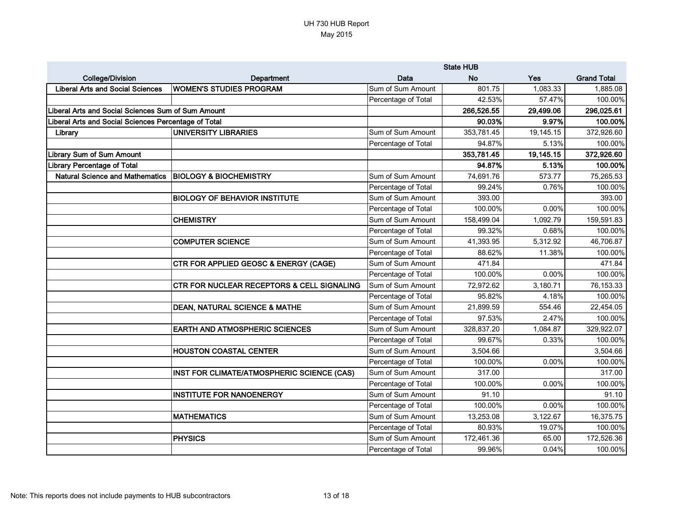|                                                      |                                                       | <b>State HUB</b>    |            |           |                    |
|------------------------------------------------------|-------------------------------------------------------|---------------------|------------|-----------|--------------------|
| <b>College/Division</b>                              | Department                                            | Data                | <b>No</b>  | Yes       | <b>Grand Total</b> |
| <b>Liberal Arts and Social Sciences</b>              | <b>WOMEN'S STUDIES PROGRAM</b>                        | Sum of Sum Amount   | 801.75     | 1,083.33  | 1,885.08           |
|                                                      |                                                       | Percentage of Total | 42.53%     | 57.47%    | 100.00%            |
| Liberal Arts and Social Sciences Sum of Sum Amount   |                                                       |                     | 266,526.55 | 29,499.06 | 296,025.61         |
| Liberal Arts and Social Sciences Percentage of Total |                                                       |                     | 90.03%     | 9.97%     | 100.00%            |
| Library                                              | UNIVERSITY LIBRARIES                                  | Sum of Sum Amount   | 353,781.45 | 19,145.15 | 372,926.60         |
|                                                      |                                                       | Percentage of Total | 94.87%     | 5.13%     | 100.00%            |
| <b>Library Sum of Sum Amount</b>                     |                                                       |                     | 353,781.45 | 19,145.15 | 372,926.60         |
| <b>Library Percentage of Total</b>                   |                                                       |                     | 94.87%     | 5.13%     | 100.00%            |
| <b>Natural Science and Mathematics</b>               | <b>BIOLOGY &amp; BIOCHEMISTRY</b>                     | Sum of Sum Amount   | 74,691.76  | 573.77    | 75,265.53          |
|                                                      |                                                       | Percentage of Total | 99.24%     | 0.76%     | 100.00%            |
|                                                      | <b>BIOLOGY OF BEHAVIOR INSTITUTE</b>                  | Sum of Sum Amount   | 393.00     |           | 393.00             |
|                                                      |                                                       | Percentage of Total | 100.00%    | 0.00%     | 100.00%            |
|                                                      | <b>CHEMISTRY</b>                                      | Sum of Sum Amount   | 158,499.04 | 1,092.79  | 159,591.83         |
|                                                      |                                                       | Percentage of Total | 99.32%     | 0.68%     | 100.00%            |
|                                                      | <b>COMPUTER SCIENCE</b>                               | Sum of Sum Amount   | 41,393.95  | 5,312.92  | 46,706.87          |
|                                                      |                                                       | Percentage of Total | 88.62%     | 11.38%    | 100.00%            |
|                                                      | <b>CTR FOR APPLIED GEOSC &amp; ENERGY (CAGE)</b>      | Sum of Sum Amount   | 471.84     |           | 471.84             |
|                                                      |                                                       | Percentage of Total | 100.00%    | 0.00%     | 100.00%            |
|                                                      | <b>CTR FOR NUCLEAR RECEPTORS &amp; CELL SIGNALING</b> | Sum of Sum Amount   | 72,972.62  | 3,180.71  | 76,153.33          |
|                                                      |                                                       | Percentage of Total | 95.82%     | 4.18%     | 100.00%            |
|                                                      | DEAN, NATURAL SCIENCE & MATHE                         | Sum of Sum Amount   | 21,899.59  | 554.46    | 22,454.05          |
|                                                      |                                                       | Percentage of Total | 97.53%     | 2.47%     | 100.00%            |
|                                                      | <b>EARTH AND ATMOSPHERIC SCIENCES</b>                 | Sum of Sum Amount   | 328,837.20 | 1,084.87  | 329,922.07         |
|                                                      |                                                       | Percentage of Total | 99.67%     | 0.33%     | 100.00%            |
|                                                      | <b>HOUSTON COASTAL CENTER</b>                         | Sum of Sum Amount   | 3,504.66   |           | 3,504.66           |
|                                                      |                                                       | Percentage of Total | 100.00%    | 0.00%     | 100.00%            |
|                                                      | INST FOR CLIMATE/ATMOSPHERIC SCIENCE (CAS)            | Sum of Sum Amount   | 317.00     |           | 317.00             |
|                                                      |                                                       | Percentage of Total | 100.00%    | 0.00%     | 100.00%            |
|                                                      | <b>INSTITUTE FOR NANOENERGY</b>                       | Sum of Sum Amount   | 91.10      |           | 91.10              |
|                                                      |                                                       | Percentage of Total | 100.00%    | 0.00%     | 100.00%            |
|                                                      | <b>MATHEMATICS</b>                                    | Sum of Sum Amount   | 13,253.08  | 3,122.67  | 16,375.75          |
|                                                      |                                                       | Percentage of Total | 80.93%     | 19.07%    | 100.00%            |
|                                                      | <b>PHYSICS</b>                                        | Sum of Sum Amount   | 172,461.36 | 65.00     | 172,526.36         |
|                                                      |                                                       | Percentage of Total | 99.96%     | 0.04%     | 100.00%            |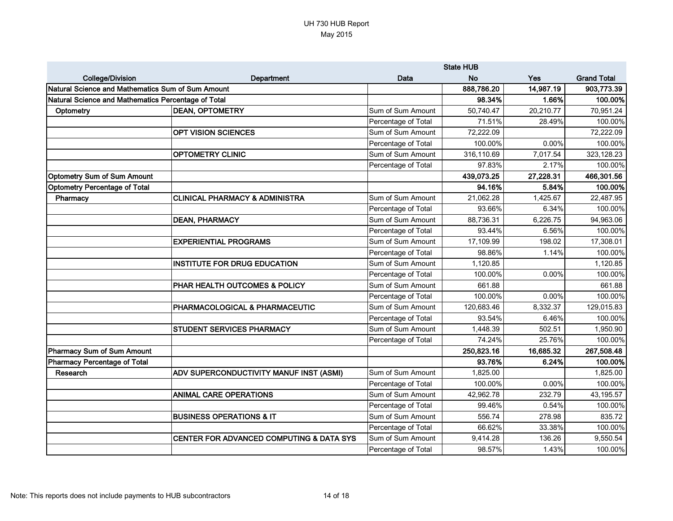|                                                     |                                           | <b>State HUB</b>    |            |           |                    |
|-----------------------------------------------------|-------------------------------------------|---------------------|------------|-----------|--------------------|
| <b>College/Division</b>                             | <b>Department</b>                         | Data                | <b>No</b>  | Yes       | <b>Grand Total</b> |
| Natural Science and Mathematics Sum of Sum Amount   |                                           |                     | 888,786.20 | 14,987.19 | 903,773.39         |
| Natural Science and Mathematics Percentage of Total |                                           |                     | 98.34%     | 1.66%     | 100.00%            |
| Optometry                                           | <b>DEAN, OPTOMETRY</b>                    | Sum of Sum Amount   | 50,740.47  | 20,210.77 | 70,951.24          |
|                                                     |                                           | Percentage of Total | 71.51%     | 28.49%    | 100.00%            |
|                                                     | <b>OPT VISION SCIENCES</b>                | Sum of Sum Amount   | 72,222.09  |           | 72,222.09          |
|                                                     |                                           | Percentage of Total | 100.00%    | 0.00%     | 100.00%            |
|                                                     | <b>OPTOMETRY CLINIC</b>                   | Sum of Sum Amount   | 316,110.69 | 7,017.54  | 323,128.23         |
|                                                     |                                           | Percentage of Total | 97.83%     | 2.17%     | 100.00%            |
| <b>Optometry Sum of Sum Amount</b>                  |                                           |                     | 439,073.25 | 27,228.31 | 466,301.56         |
| Optometry Percentage of Total                       |                                           |                     | 94.16%     | 5.84%     | 100.00%            |
| Pharmacy                                            | <b>CLINICAL PHARMACY &amp; ADMINISTRA</b> | Sum of Sum Amount   | 21,062.28  | 1,425.67  | 22,487.95          |
|                                                     |                                           | Percentage of Total | 93.66%     | 6.34%     | 100.00%            |
|                                                     | <b>DEAN, PHARMACY</b>                     | Sum of Sum Amount   | 88,736.31  | 6,226.75  | 94,963.06          |
|                                                     |                                           | Percentage of Total | 93.44%     | 6.56%     | 100.00%            |
|                                                     | <b>EXPERIENTIAL PROGRAMS</b>              | Sum of Sum Amount   | 17,109.99  | 198.02    | 17,308.01          |
|                                                     |                                           | Percentage of Total | 98.86%     | 1.14%     | 100.00%            |
|                                                     | <b>INSTITUTE FOR DRUG EDUCATION</b>       | Sum of Sum Amount   | 1,120.85   |           | 1,120.85           |
|                                                     |                                           | Percentage of Total | 100.00%    | 0.00%     | 100.00%            |
|                                                     | PHAR HEALTH OUTCOMES & POLICY             | Sum of Sum Amount   | 661.88     |           | 661.88             |
|                                                     |                                           | Percentage of Total | 100.00%    | 0.00%     | 100.00%            |
|                                                     | PHARMACOLOGICAL & PHARMACEUTIC            | Sum of Sum Amount   | 120,683.46 | 8,332.37  | 129,015.83         |
|                                                     |                                           | Percentage of Total | 93.54%     | 6.46%     | 100.00%            |
|                                                     | <b>STUDENT SERVICES PHARMACY</b>          | Sum of Sum Amount   | 1,448.39   | 502.51    | 1,950.90           |
|                                                     |                                           | Percentage of Total | 74.24%     | 25.76%    | 100.00%            |
| Pharmacy Sum of Sum Amount                          |                                           |                     | 250,823.16 | 16,685.32 | 267,508.48         |
| <b>Pharmacy Percentage of Total</b>                 |                                           |                     | 93.76%     | 6.24%     | 100.00%            |
| Research                                            | ADV SUPERCONDUCTIVITY MANUF INST (ASMI)   | Sum of Sum Amount   | 1,825.00   |           | 1,825.00           |
|                                                     |                                           | Percentage of Total | 100.00%    | 0.00%     | 100.00%            |
|                                                     | <b>ANIMAL CARE OPERATIONS</b>             | Sum of Sum Amount   | 42,962.78  | 232.79    | 43,195.57          |
|                                                     |                                           | Percentage of Total | 99.46%     | 0.54%     | 100.00%            |
|                                                     | <b>BUSINESS OPERATIONS &amp; IT</b>       | Sum of Sum Amount   | 556.74     | 278.98    | 835.72             |
|                                                     |                                           | Percentage of Total | 66.62%     | 33.38%    | 100.00%            |
|                                                     | CENTER FOR ADVANCED COMPUTING & DATA SYS  | Sum of Sum Amount   | 9,414.28   | 136.26    | 9,550.54           |
|                                                     |                                           | Percentage of Total | 98.57%     | 1.43%     | 100.00%            |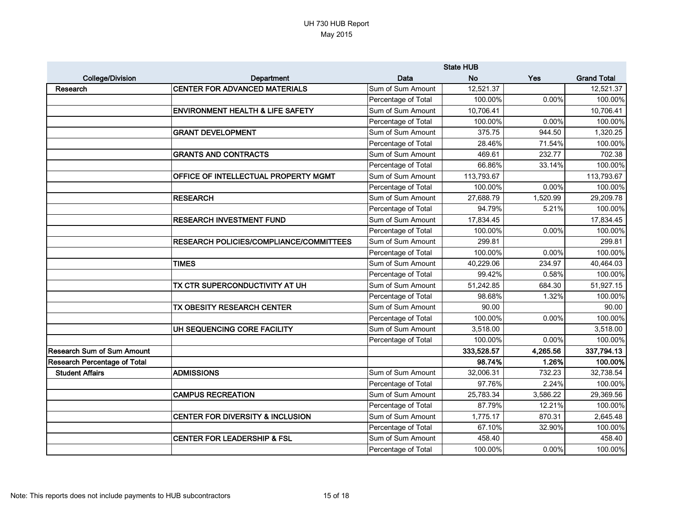|                                     |                                                | <b>State HUB</b>    |            |          |                    |
|-------------------------------------|------------------------------------------------|---------------------|------------|----------|--------------------|
| <b>College/Division</b>             | <b>Department</b>                              | Data                | <b>No</b>  | Yes      | <b>Grand Total</b> |
| Research                            | <b>CENTER FOR ADVANCED MATERIALS</b>           | Sum of Sum Amount   | 12,521.37  |          | 12,521.37          |
|                                     |                                                | Percentage of Total | 100.00%    | 0.00%    | 100.00%            |
|                                     | <b>ENVIRONMENT HEALTH &amp; LIFE SAFETY</b>    | Sum of Sum Amount   | 10,706.41  |          | 10,706.41          |
|                                     |                                                | Percentage of Total | 100.00%    | 0.00%    | 100.00%            |
|                                     | <b>GRANT DEVELOPMENT</b>                       | Sum of Sum Amount   | 375.75     | 944.50   | 1,320.25           |
|                                     |                                                | Percentage of Total | 28.46%     | 71.54%   | 100.00%            |
|                                     | <b>GRANTS AND CONTRACTS</b>                    | Sum of Sum Amount   | 469.61     | 232.77   | 702.38             |
|                                     |                                                | Percentage of Total | 66.86%     | 33.14%   | 100.00%            |
|                                     | OFFICE OF INTELLECTUAL PROPERTY MGMT           | Sum of Sum Amount   | 113,793.67 |          | 113,793.67         |
|                                     |                                                | Percentage of Total | 100.00%    | 0.00%    | 100.00%            |
|                                     | <b>RESEARCH</b>                                | Sum of Sum Amount   | 27,688.79  | 1,520.99 | 29,209.78          |
|                                     |                                                | Percentage of Total | 94.79%     | 5.21%    | 100.00%            |
|                                     | <b>RESEARCH INVESTMENT FUND</b>                | Sum of Sum Amount   | 17,834.45  |          | 17,834.45          |
|                                     |                                                | Percentage of Total | 100.00%    | 0.00%    | 100.00%            |
|                                     | <b>RESEARCH POLICIES/COMPLIANCE/COMMITTEES</b> | Sum of Sum Amount   | 299.81     |          | 299.81             |
|                                     |                                                | Percentage of Total | 100.00%    | 0.00%    | 100.00%            |
|                                     | <b>TIMES</b>                                   | Sum of Sum Amount   | 40,229.06  | 234.97   | 40,464.03          |
|                                     |                                                | Percentage of Total | 99.42%     | 0.58%    | 100.00%            |
|                                     | TX CTR SUPERCONDUCTIVITY AT UH                 | Sum of Sum Amount   | 51,242.85  | 684.30   | 51,927.15          |
|                                     |                                                | Percentage of Total | 98.68%     | 1.32%    | 100.00%            |
|                                     | TX OBESITY RESEARCH CENTER                     | Sum of Sum Amount   | 90.00      |          | 90.00              |
|                                     |                                                | Percentage of Total | 100.00%    | 0.00%    | 100.00%            |
|                                     | UH SEQUENCING CORE FACILITY                    | Sum of Sum Amount   | 3,518.00   |          | 3,518.00           |
|                                     |                                                | Percentage of Total | 100.00%    | 0.00%    | 100.00%            |
| <b>Research Sum of Sum Amount</b>   |                                                |                     | 333,528.57 | 4,265.56 | 337,794.13         |
| <b>Research Percentage of Total</b> |                                                |                     | 98.74%     | 1.26%    | 100.00%            |
| <b>Student Affairs</b>              | <b>ADMISSIONS</b>                              | Sum of Sum Amount   | 32,006.31  | 732.23   | 32,738.54          |
|                                     |                                                | Percentage of Total | 97.76%     | 2.24%    | 100.00%            |
|                                     | <b>CAMPUS RECREATION</b>                       | Sum of Sum Amount   | 25,783.34  | 3,586.22 | 29,369.56          |
|                                     |                                                | Percentage of Total | 87.79%     | 12.21%   | 100.00%            |
|                                     | <b>CENTER FOR DIVERSITY &amp; INCLUSION</b>    | Sum of Sum Amount   | 1,775.17   | 870.31   | 2,645.48           |
|                                     |                                                | Percentage of Total | 67.10%     | 32.90%   | 100.00%            |
|                                     | <b>CENTER FOR LEADERSHIP &amp; FSL</b>         | Sum of Sum Amount   | 458.40     |          | 458.40             |
|                                     |                                                | Percentage of Total | 100.00%    | $0.00\%$ | 100.00%            |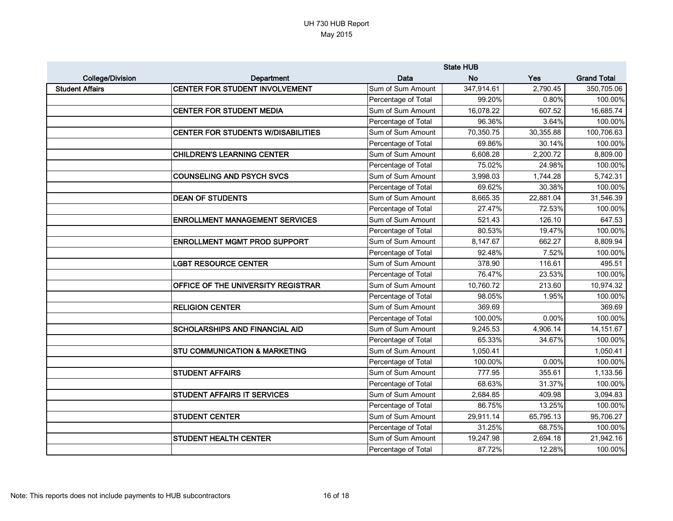|                         |                                          | <b>State HUB</b>    |            |           |                    |
|-------------------------|------------------------------------------|---------------------|------------|-----------|--------------------|
| <b>College/Division</b> | Department                               | Data                | <b>No</b>  | Yes       | <b>Grand Total</b> |
| <b>Student Affairs</b>  | CENTER FOR STUDENT INVOLVEMENT           | Sum of Sum Amount   | 347,914.61 | 2,790.45  | 350,705.06         |
|                         |                                          | Percentage of Total | 99.20%     | 0.80%     | 100.00%            |
|                         | <b>CENTER FOR STUDENT MEDIA</b>          | Sum of Sum Amount   | 16,078.22  | 607.52    | 16,685.74          |
|                         |                                          | Percentage of Total | 96.36%     | 3.64%     | 100.00%            |
|                         | CENTER FOR STUDENTS W/DISABILITIES       | Sum of Sum Amount   | 70,350.75  | 30,355.88 | 100,706.63         |
|                         |                                          | Percentage of Total | 69.86%     | 30.14%    | 100.00%            |
|                         | <b>CHILDREN'S LEARNING CENTER</b>        | Sum of Sum Amount   | 6,608.28   | 2,200.72  | 8,809.00           |
|                         |                                          | Percentage of Total | 75.02%     | 24.98%    | 100.00%            |
|                         | <b>COUNSELING AND PSYCH SVCS</b>         | Sum of Sum Amount   | 3,998.03   | 1,744.28  | 5,742.31           |
|                         |                                          | Percentage of Total | 69.62%     | 30.38%    | 100.00%            |
|                         | <b>DEAN OF STUDENTS</b>                  | Sum of Sum Amount   | 8,665.35   | 22,881.04 | 31,546.39          |
|                         |                                          | Percentage of Total | 27.47%     | 72.53%    | 100.00%            |
|                         | <b>ENROLLMENT MANAGEMENT SERVICES</b>    | Sum of Sum Amount   | 521.43     | 126.10    | 647.53             |
|                         |                                          | Percentage of Total | 80.53%     | 19.47%    | 100.00%            |
|                         | <b>ENROLLMENT MGMT PROD SUPPORT</b>      | Sum of Sum Amount   | 8,147.67   | 662.27    | 8,809.94           |
|                         |                                          | Percentage of Total | 92.48%     | 7.52%     | 100.00%            |
|                         | <b>LGBT RESOURCE CENTER</b>              | Sum of Sum Amount   | 378.90     | 116.61    | 495.51             |
|                         |                                          | Percentage of Total | 76.47%     | 23.53%    | 100.00%            |
|                         | OFFICE OF THE UNIVERSITY REGISTRAR       | Sum of Sum Amount   | 10,760.72  | 213.60    | 10,974.32          |
|                         |                                          | Percentage of Total | 98.05%     | 1.95%     | 100.00%            |
|                         | <b>RELIGION CENTER</b>                   | Sum of Sum Amount   | 369.69     |           | 369.69             |
|                         |                                          | Percentage of Total | 100.00%    | 0.00%     | 100.00%            |
|                         | <b>SCHOLARSHIPS AND FINANCIAL AID</b>    | Sum of Sum Amount   | 9,245.53   | 4,906.14  | 14,151.67          |
|                         |                                          | Percentage of Total | 65.33%     | 34.67%    | 100.00%            |
|                         | <b>STU COMMUNICATION &amp; MARKETING</b> | Sum of Sum Amount   | 1,050.41   |           | 1,050.41           |
|                         |                                          | Percentage of Total | 100.00%    | 0.00%     | 100.00%            |
|                         | <b>STUDENT AFFAIRS</b>                   | Sum of Sum Amount   | 777.95     | 355.61    | 1,133.56           |
|                         |                                          | Percentage of Total | 68.63%     | 31.37%    | 100.00%            |
|                         | <b>STUDENT AFFAIRS IT SERVICES</b>       | Sum of Sum Amount   | 2,684.85   | 409.98    | 3,094.83           |
|                         |                                          | Percentage of Total | 86.75%     | 13.25%    | 100.00%            |
|                         | <b>STUDENT CENTER</b>                    | Sum of Sum Amount   | 29,911.14  | 65,795.13 | 95,706.27          |
|                         |                                          | Percentage of Total | 31.25%     | 68.75%    | 100.00%            |
|                         | <b>STUDENT HEALTH CENTER</b>             | Sum of Sum Amount   | 19,247.98  | 2,694.18  | 21,942.16          |
|                         |                                          | Percentage of Total | 87.72%     | 12.28%    | 100.00%            |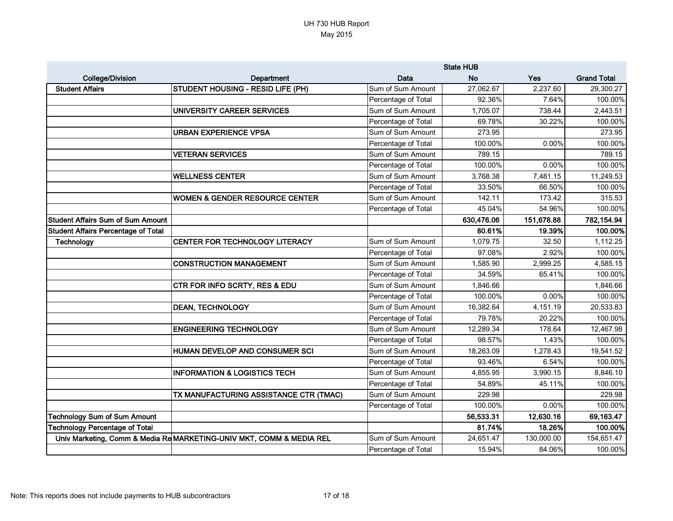|                                            |                                                                      | <b>State HUB</b>    |            |            |                    |
|--------------------------------------------|----------------------------------------------------------------------|---------------------|------------|------------|--------------------|
| <b>College/Division</b>                    | <b>Department</b>                                                    | Data                | <b>No</b>  | Yes        | <b>Grand Total</b> |
| <b>Student Affairs</b>                     | STUDENT HOUSING - RESID LIFE (PH)                                    | Sum of Sum Amount   | 27,062.67  | 2,237.60   | 29,300.27          |
|                                            |                                                                      | Percentage of Total | 92.36%     | 7.64%      | 100.00%            |
|                                            | UNIVERSITY CAREER SERVICES                                           | Sum of Sum Amount   | 1,705.07   | 738.44     | 2,443.51           |
|                                            |                                                                      | Percentage of Total | 69.78%     | 30.22%     | 100.00%            |
|                                            | <b>URBAN EXPERIENCE VPSA</b>                                         | Sum of Sum Amount   | 273.95     |            | 273.95             |
|                                            |                                                                      | Percentage of Total | 100.00%    | 0.00%      | 100.00%            |
|                                            | <b>VETERAN SERVICES</b>                                              | Sum of Sum Amount   | 789.15     |            | 789.15             |
|                                            |                                                                      | Percentage of Total | 100.00%    | 0.00%      | 100.00%            |
|                                            | <b>WELLNESS CENTER</b>                                               | Sum of Sum Amount   | 3,768.38   | 7,481.15   | 11,249.53          |
|                                            |                                                                      | Percentage of Total | 33.50%     | 66.50%     | 100.00%            |
|                                            | <b>WOMEN &amp; GENDER RESOURCE CENTER</b>                            | Sum of Sum Amount   | 142.11     | 173.42     | 315.53             |
|                                            |                                                                      | Percentage of Total | 45.04%     | 54.96%     | 100.00%            |
| Student Affairs Sum of Sum Amount          |                                                                      |                     | 630,476.06 | 151,678.88 | 782,154.94         |
| <b>Student Affairs Percentage of Total</b> |                                                                      |                     | 80.61%     | 19.39%     | 100.00%            |
| Technology                                 | CENTER FOR TECHNOLOGY LITERACY                                       | Sum of Sum Amount   | 1,079.75   | 32.50      | 1,112.25           |
|                                            |                                                                      | Percentage of Total | 97.08%     | 2.92%      | 100.00%            |
|                                            | <b>CONSTRUCTION MANAGEMENT</b>                                       | Sum of Sum Amount   | 1,585.90   | 2,999.25   | 4,585.15           |
|                                            |                                                                      | Percentage of Total | 34.59%     | 65.41%     | 100.00%            |
|                                            | CTR FOR INFO SCRTY, RES & EDU                                        | Sum of Sum Amount   | 1,846.66   |            | 1,846.66           |
|                                            |                                                                      | Percentage of Total | 100.00%    | 0.00%      | 100.00%            |
|                                            | <b>DEAN, TECHNOLOGY</b>                                              | Sum of Sum Amount   | 16,382.64  | 4,151.19   | 20,533.83          |
|                                            |                                                                      | Percentage of Total | 79.78%     | 20.22%     | 100.00%            |
|                                            | <b>ENGINEERING TECHNOLOGY</b>                                        | Sum of Sum Amount   | 12,289.34  | 178.64     | 12,467.98          |
|                                            |                                                                      | Percentage of Total | 98.57%     | 1.43%      | 100.00%            |
|                                            | HUMAN DEVELOP AND CONSUMER SCI                                       | Sum of Sum Amount   | 18,263.09  | 1,278.43   | 19,541.52          |
|                                            |                                                                      | Percentage of Total | 93.46%     | 6.54%      | 100.00%            |
|                                            | <b>INFORMATION &amp; LOGISTICS TECH</b>                              | Sum of Sum Amount   | 4,855.95   | 3,990.15   | 8,846.10           |
|                                            |                                                                      | Percentage of Total | 54.89%     | 45.11%     | 100.00%            |
|                                            | TX MANUFACTURING ASSISTANCE CTR (TMAC)                               | Sum of Sum Amount   | 229.98     |            | 229.98             |
|                                            |                                                                      | Percentage of Total | 100.00%    | 0.00%      | 100.00%            |
| <b>Technology Sum of Sum Amount</b>        |                                                                      |                     | 56,533.31  | 12,630.16  | 69,163.47          |
| <b>Technology Percentage of Total</b>      |                                                                      |                     | 81.74%     | 18.26%     | 100.00%            |
|                                            | Univ Marketing, Comm & Media Re MARKETING-UNIV MKT, COMM & MEDIA REL | Sum of Sum Amount   | 24,651.47  | 130,000.00 | 154,651.47         |
|                                            |                                                                      | Percentage of Total | 15.94%     | 84.06%     | 100.00%            |